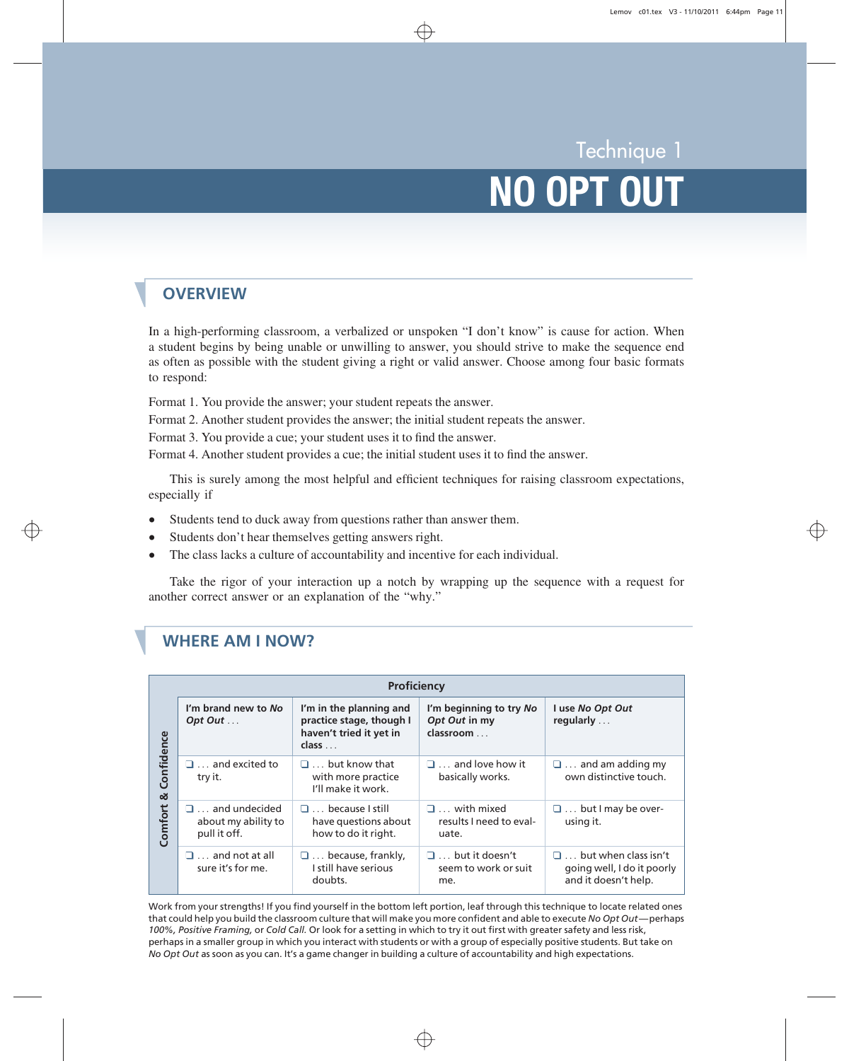# Technique 1 **NO OPT OUT**

## **OVERVIEW**

In a high-performing classroom, a verbalized or unspoken "I don't know" is cause for action. When a student begins by being unable or unwilling to answer, you should strive to make the sequence end as often as possible with the student giving a right or valid answer. Choose among four basic formats to respond:

Format 1. You provide the answer; your student repeats the answer.

Format 2. Another student provides the answer; the initial student repeats the answer.

Format 3. You provide a cue; your student uses it to find the answer.

Format 4. Another student provides a cue; the initial student uses it to find the answer.

This is surely among the most helpful and efficient techniques for raising classroom expectations, especially if

- Students tend to duck away from questions rather than answer them.
- Students don't hear themselves getting answers right.
- The class lacks a culture of accountability and incentive for each individual.

Take the rigor of your interaction up a notch by wrapping up the sequence with a request for another correct answer or an explanation of the "why."

## **WHERE AM I NOW?**

|                            | Proficiency                                                 |                                                                                         |                                                         |                                                                                   |
|----------------------------|-------------------------------------------------------------|-----------------------------------------------------------------------------------------|---------------------------------------------------------|-----------------------------------------------------------------------------------|
| Confidence<br>ಹ<br>Comfort | I'm brand new to No<br>Opt Out                              | I'm in the planning and<br>practice stage, though I<br>haven't tried it yet in<br>class | I'm beginning to try No<br>Opt Out in my<br>classroom   | I use No Opt Out<br>regularly $\dots$                                             |
|                            | $\Box$ and excited to<br>try it.                            | $\Box$ but know that<br>with more practice<br>I'll make it work.                        | $\Box$ and love how it<br>basically works.              | $\Box$ and am adding my<br>own distinctive touch.                                 |
|                            | $\Box$ and undecided<br>about my ability to<br>pull it off. | $\Box$ because I still<br>have questions about<br>how to do it right.                   | $\sqcup$ with mixed<br>results I need to eval-<br>uate. | $\sqcup$ but I may be over-<br>using it.                                          |
|                            | $\Box$ and not at all<br>sure it's for me.                  | $\Box$ because, frankly,<br>I still have serious<br>doubts.                             | $\Box$ but it doesn't<br>seem to work or suit<br>me.    | $\Box$ but when class isn't<br>going well, I do it poorly<br>and it doesn't help. |

Work from your strengths! If you find yourself in the bottom left portion, leaf through this technique to locate related ones that could help you build the classroom culture that will make you more confident and able to execute *No Opt Out*—perhaps *100%, Positive Framing,* or *Cold Call.* Or look for a setting in which to try it out first with greater safety and less risk, perhaps in a smaller group in which you interact with students or with a group of especially positive students. But take on *No Opt Out* as soon as you can. It's a game changer in building a culture of accountability and high expectations.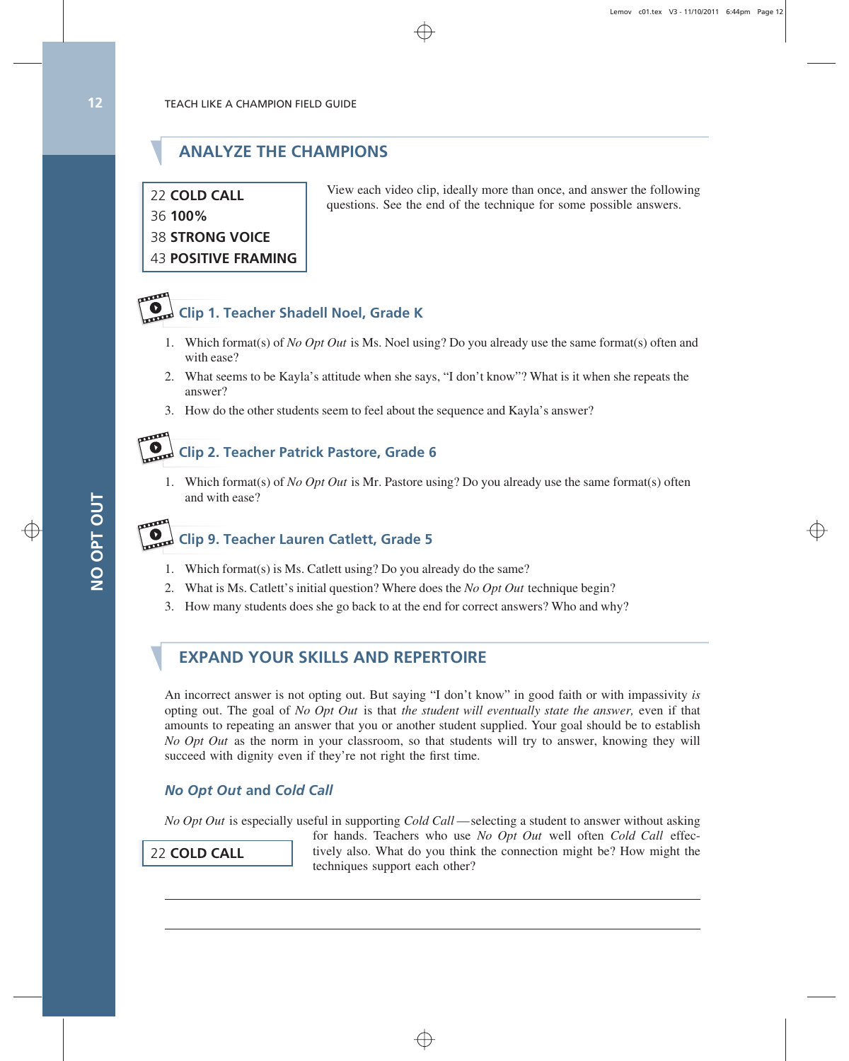### **ANALYZE THE CHAMPIONS**

22 **COLD CALL**

36 **100%**

38 **STRONG VOICE**

43 **POSITIVE FRAMING**

# **Clip 1. Teacher Shadell Noel, Grade K**

1. Which format(s) of *No Opt Out* is Ms. Noel using? Do you already use the same format(s) often and with ease?

View each video clip, ideally more than once, and answer the following questions. See the end of the technique for some possible answers.

- 2. What seems to be Kayla's attitude when she says, "I don't know"? What is it when she repeats the answer?
- 3. How do the other students seem to feel about the sequence and Kayla's answer?

## **Clip 2. Teacher Patrick Pastore, Grade 6**

1. Which format(s) of *No Opt Out* is Mr. Pastore using? Do you already use the same format(s) often and with ease?

# **Clip 9. Teacher Lauren Catlett, Grade 5**

- 1. Which format(s) is Ms. Catlett using? Do you already do the same?
- 2. What is Ms. Catlett's initial question? Where does the *No Opt Out* technique begin?
- 3. How many students does she go back to at the end for correct answers? Who and why?

### **EXPAND YOUR SKILLS AND REPERTOIRE**

An incorrect answer is not opting out. But saying "I don't know" in good faith or with impassivity *is* opting out. The goal of *No Opt Out* is that *the student will eventually state the answer,* even if that amounts to repeating an answer that you or another student supplied. Your goal should be to establish *No Opt Out* as the norm in your classroom, so that students will try to answer, knowing they will succeed with dignity even if they're not right the first time.

### *No Opt Out* **and** *Cold Call*

*No Opt Out* is especially useful in supporting *Cold Call* —selecting a student to answer without asking

### 22 **COLD CALL**

for hands. Teachers who use *No Opt Out* well often *Cold Call* effectively also. What do you think the connection might be? How might the techniques support each other?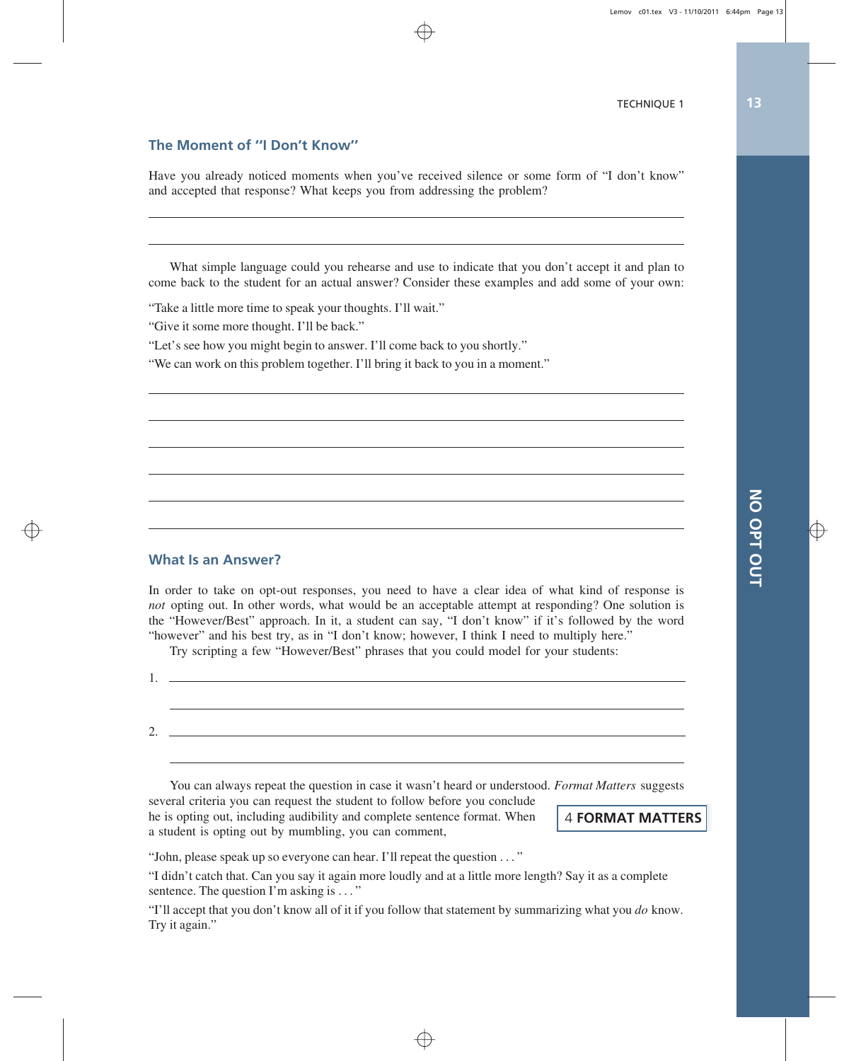#### **The Moment of ''I Don't Know''**

Have you already noticed moments when you've received silence or some form of "I don't know" and accepted that response? What keeps you from addressing the problem?

What simple language could you rehearse and use to indicate that you don't accept it and plan to come back to the student for an actual answer? Consider these examples and add some of your own:

"Take a little more time to speak your thoughts. I'll wait."

"Give it some more thought. I'll be back."

"Let's see how you might begin to answer. I'll come back to you shortly."

"We can work on this problem together. I'll bring it back to you in a moment."

#### **What Is an Answer?**

In order to take on opt-out responses, you need to have a clear idea of what kind of response is *not* opting out. In other words, what would be an acceptable attempt at responding? One solution is the "However/Best" approach. In it, a student can say, "I don't know" if it's followed by the word "however" and his best try, as in "I don't know; however, I think I need to multiply here."

Try scripting a few "However/Best" phrases that you could model for your students:

| . .           |  |
|---------------|--|
|               |  |
|               |  |
|               |  |
| ⌒<br><u>.</u> |  |

You can always repeat the question in case it wasn't heard or understood. *Format Matters* suggests several criteria you can request the student to follow before you conclude

he is opting out, including audibility and complete sentence format. When a student is opting out by mumbling, you can comment,

4 **FORMAT MATTERS**

"John, please speak up so everyone can hear. I'll repeat the question *...* "

"I didn't catch that. Can you say it again more loudly and at a little more length? Say it as a complete sentence. The question I'm asking is *...* "

"I'll accept that you don't know all of it if you follow that statement by summarizing what you *do* know. Try it again."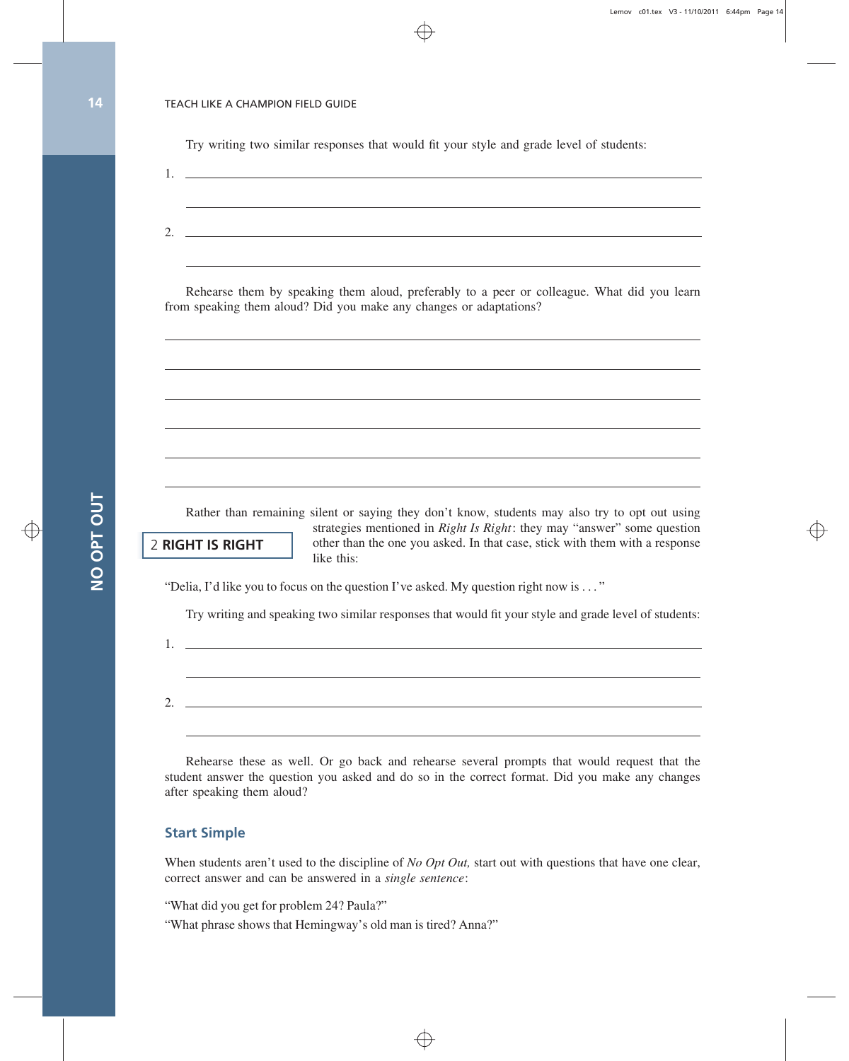#### **14** TEACH LIKE A CHAMPION FIELD GUIDE

Try writing two similar responses that would fit your style and grade level of students:

| ∍<br><u>.</u> |  |  |  |
|---------------|--|--|--|
|               |  |  |  |

Rehearse them by speaking them aloud, preferably to a peer or colleague. What did you learn from speaking them aloud? Did you make any changes or adaptations?

Rather than remaining silent or saying they don't know, students may also try to opt out using

#### 2 **RIGHT IS RIGHT**

strategies mentioned in *Right Is Right*: they may "answer" some question other than the one you asked. In that case, stick with them with a response like this:

"Delia, I'd like you to focus on the question I've asked. My question right now is *...* "

Try writing and speaking two similar responses that would fit your style and grade level of students:

| ⌒<br>∼. |  |
|---------|--|
|         |  |

Rehearse these as well. Or go back and rehearse several prompts that would request that the student answer the question you asked and do so in the correct format. Did you make any changes after speaking them aloud?

#### **Start Simple**

When students aren't used to the discipline of *No Opt Out*, start out with questions that have one clear, correct answer and can be answered in a *single sentence*:

"What did you get for problem 24? Paula?"

"What phrase shows that Hemingway's old man is tired? Anna?"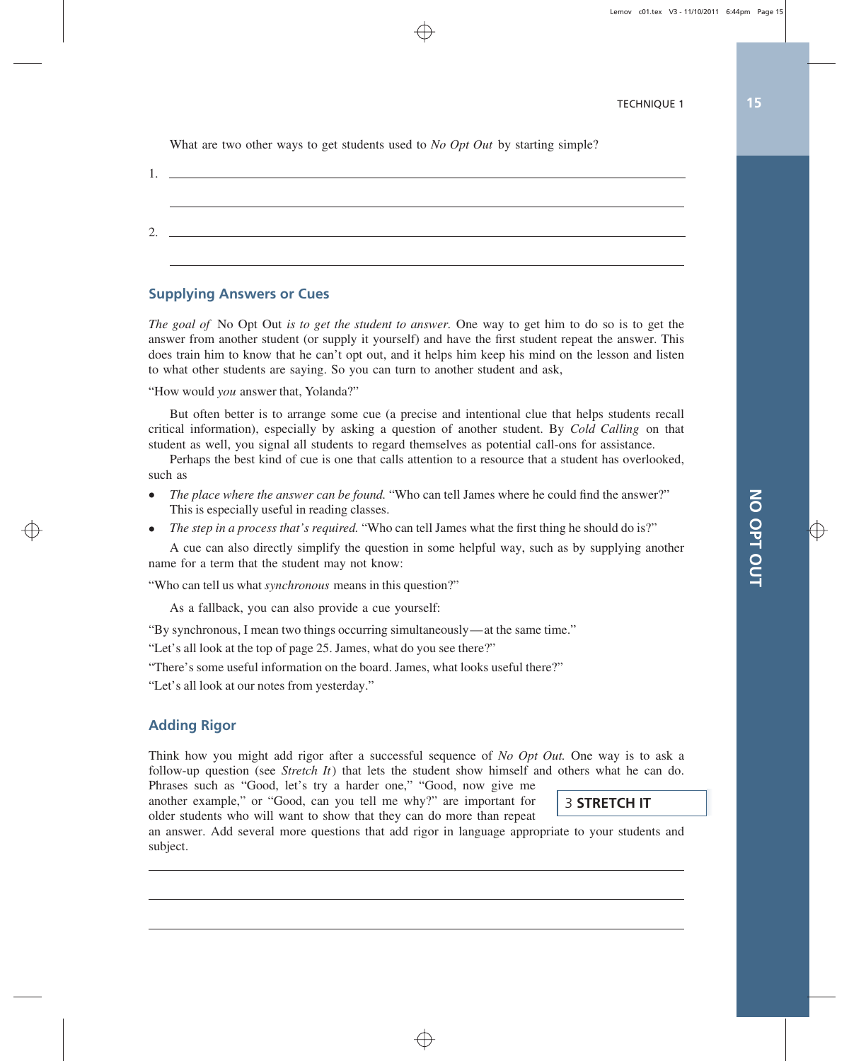What are two other ways to get students used to *No Opt Out* by starting simple?

| Ι.             | <u> 1990 - Jan Salaman Salaman (j. 1980)</u> |  |
|----------------|----------------------------------------------|--|
|                |                                              |  |
|                |                                              |  |
| ∍<br><u>L.</u> |                                              |  |
|                |                                              |  |

#### **Supplying Answers or Cues**

*The goal of* No Opt Out *is to get the student to answer.* One way to get him to do so is to get the answer from another student (or supply it yourself) and have the first student repeat the answer. This does train him to know that he can't opt out, and it helps him keep his mind on the lesson and listen to what other students are saying. So you can turn to another student and ask,

"How would *you* answer that, Yolanda?"

But often better is to arrange some cue (a precise and intentional clue that helps students recall critical information), especially by asking a question of another student. By *Cold Calling* on that student as well, you signal all students to regard themselves as potential call-ons for assistance.

Perhaps the best kind of cue is one that calls attention to a resource that a student has overlooked, such as

- *The place where the answer can be found.* "Who can tell James where he could find the answer?" This is especially useful in reading classes.
- *The step in a process that's required.* "Who can tell James what the first thing he should do is?"

A cue can also directly simplify the question in some helpful way, such as by supplying another name for a term that the student may not know:

"Who can tell us what *synchronous* means in this question?"

As a fallback, you can also provide a cue yourself:

"By synchronous, I mean two things occurring simultaneously—at the same time."

"Let's all look at the top of page 25. James, what do you see there?"

"There's some useful information on the board. James, what looks useful there?"

"Let's all look at our notes from yesterday."

#### **Adding Rigor**

Think how you might add rigor after a successful sequence of *No Opt Out.* One way is to ask a follow-up question (see *Stretch It*) that lets the student show himself and others what he can do.

Phrases such as "Good, let's try a harder one," "Good, now give me another example," or "Good, can you tell me why?" are important for older students who will want to show that they can do more than repeat

3 **STRETCH IT**

an answer. Add several more questions that add rigor in language appropriate to your students and subject.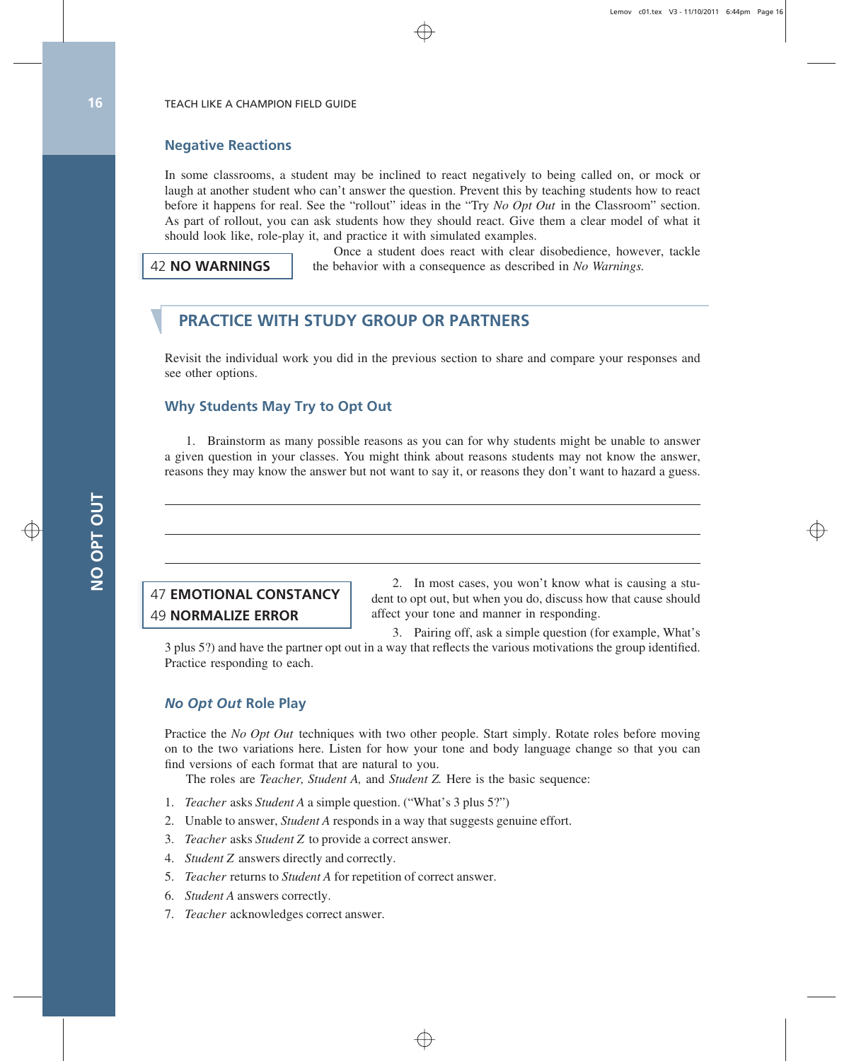#### **Negative Reactions**

In some classrooms, a student may be inclined to react negatively to being called on, or mock or laugh at another student who can't answer the question. Prevent this by teaching students how to react before it happens for real. See the "rollout" ideas in the "Try *No Opt Out* in the Classroom" section. As part of rollout, you can ask students how they should react. Give them a clear model of what it should look like, role-play it, and practice it with simulated examples.

42 **NO WARNINGS**

Once a student does react with clear disobedience, however, tackle the behavior with a consequence as described in *No Warnings.*

### **PRACTICE WITH STUDY GROUP OR PARTNERS**

Revisit the individual work you did in the previous section to share and compare your responses and see other options.

### **Why Students May Try to Opt Out**

1. Brainstorm as many possible reasons as you can for why students might be unable to answer a given question in your classes. You might think about reasons students may not know the answer, reasons they may know the answer but not want to say it, or reasons they don't want to hazard a guess.

### 47 **EMOTIONAL CONSTANCY** 49 **NORMALIZE ERROR**

. 2. In most cases, you won't know what is causing a student to opt out, but when you do, discuss how that cause should affect your tone and manner in responding.

3. Pairing off, ask a simple question (for example, What's 3 plus 5?) and have the partner opt out in a way that reflects the various motivations the group identified. Practice responding to each.

#### *No Opt Out* **Role Play**

Practice the *No Opt Out* techniques with two other people. Start simply. Rotate roles before moving on to the two variations here. Listen for how your tone and body language change so that you can find versions of each format that are natural to you.

The roles are *Teacher, Student A,* and *Student Z.* Here is the basic sequence:

- 1. *Teacher* asks *Student A* a simple question. ("What's 3 plus 5?")
- 2. Unable to answer, *Student A* responds in a way that suggests genuine effort.
- 3. *Teacher* asks *Student Z* to provide a correct answer.
- 4. *Student Z* answers directly and correctly.
- 5. *Teacher* returns to *Student A* for repetition of correct answer.
- 6. *Student A* answers correctly.
- 7. *Teacher* acknowledges correct answer.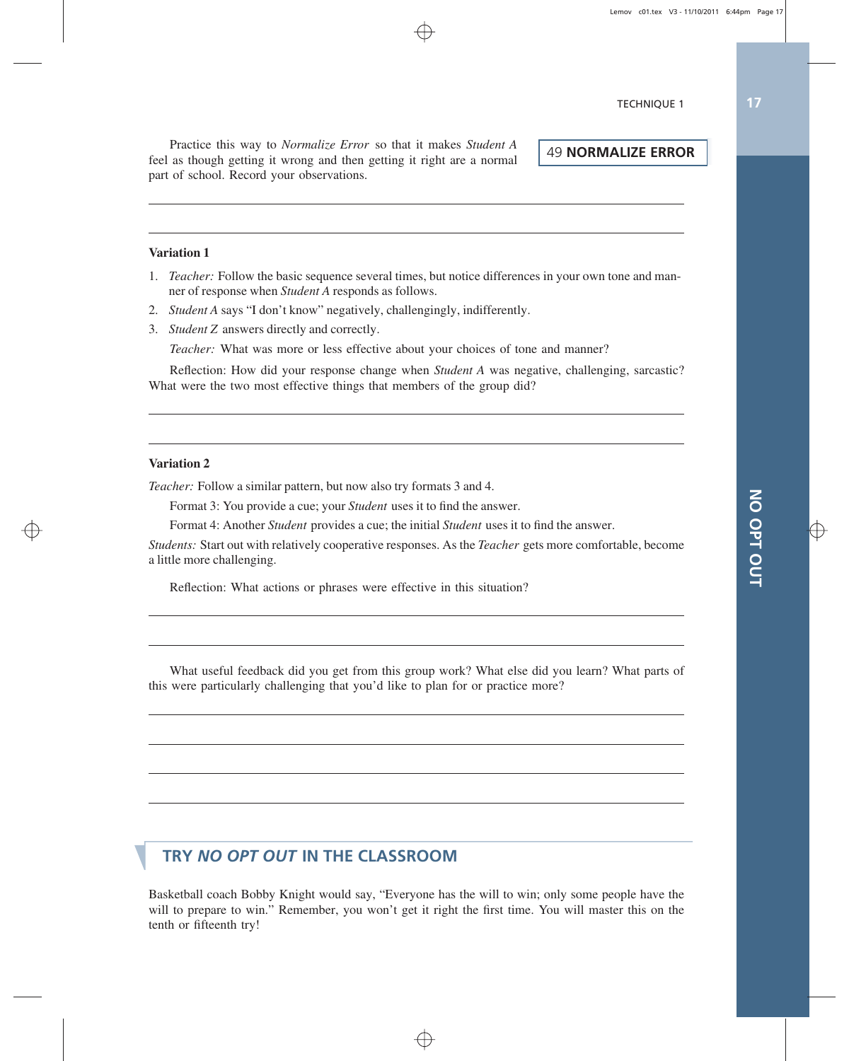Practice this way to *Normalize Error* so that it makes *Student A* 49 **NORMALIZE ERROR** feel as though getting it wrong and then getting it right are a normal part of school. Record your observations.

#### **Variation 1**

- 1. *Teacher:* Follow the basic sequence several times, but notice differences in your own tone and manner of response when *Student A* responds as follows.
- 2. *Student A* says "I don't know" negatively, challengingly, indifferently.
- 3. *Student Z* answers directly and correctly.

*Teacher:* What was more or less effective about your choices of tone and manner?

Reflection: How did your response change when *Student A* was negative, challenging, sarcastic? What were the two most effective things that members of the group did?

#### **Variation 2**

*Teacher:* Follow a similar pattern, but now also try formats 3 and 4.

Format 3: You provide a cue; your *Student* uses it to find the answer.

Format 4: Another *Student* provides a cue; the initial *Student* uses it to find the answer.

*Students:* Start out with relatively cooperative responses. As the *Teacher* gets more comfortable, become a little more challenging.

Reflection: What actions or phrases were effective in this situation?

What useful feedback did you get from this group work? What else did you learn? What parts of this were particularly challenging that you'd like to plan for or practice more?

### **TRY** *NO OPT OUT* **IN THE CLASSROOM**

Basketball coach Bobby Knight would say, "Everyone has the will to win; only some people have the will to prepare to win." Remember, you won't get it right the first time. You will master this on the tenth or fifteenth try!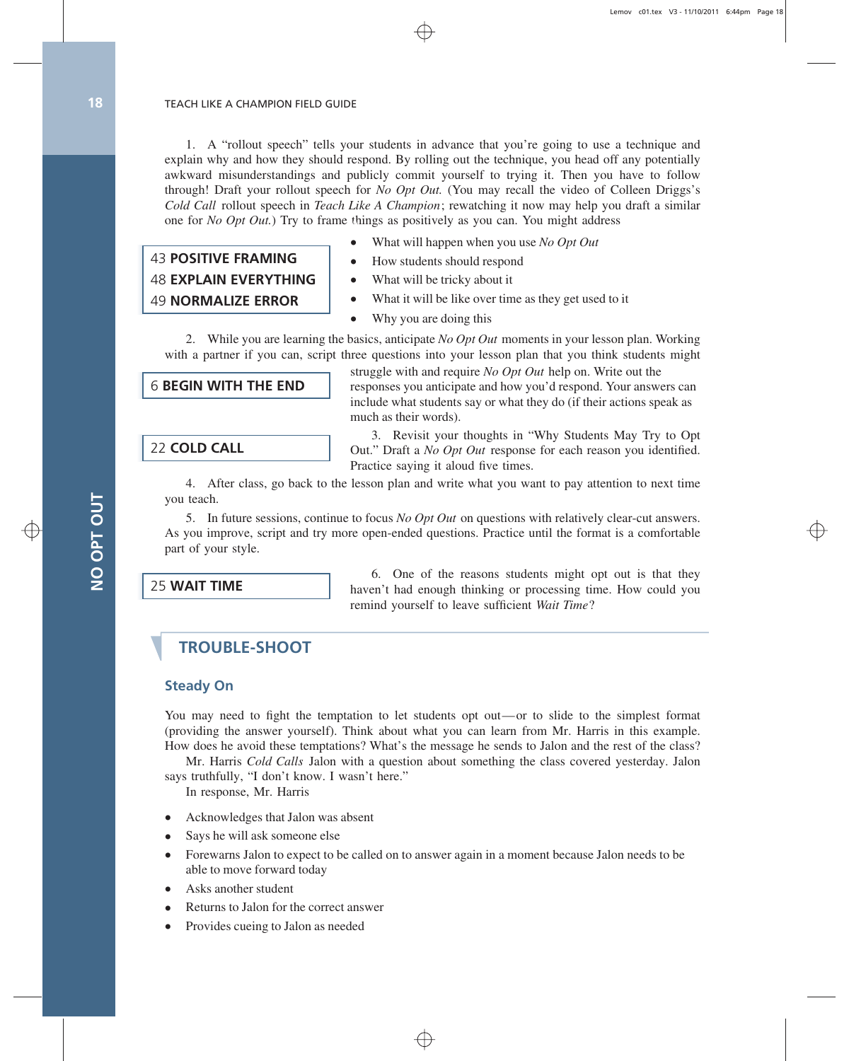1. A "rollout speech" tells your students in advance that you're going to use a technique and explain why and how they should respond. By rolling out the technique, you head off any potentially awkward misunderstandings and publicly commit yourself to trying it. Then you have to follow through! Draft your rollout speech for *No Opt Out.* (You may recall the video of Colleen Driggs's *Cold Call* rollout speech in *Teach Like A Champion*; rewatching it now may help you draft a similar one for *No Opt Out*.) Try to frame things as positively as you can. You might address

## 43 **POSITIVE FRAMING** 48 **EXPLAIN EVERYTHING**

#### 49 **NORMALIZE ERROR**

- . What will happen when you use *No Opt Out*
- How students should respond
- What will be tricky about it
- What it will be like over time as they get used to it
- Why you are doing this

2. While you are learning the basics, anticipate *No Opt Out* moments in your lesson plan. Working with a partner if you can, script three questions into your lesson plan that you think students might

**EXEMBLE 6 BEGIN WITH THE END** struggle with and require *No Opt Out* help on. Write out the responses you anticipate and how you'd respond. Your answers can include what students say or what they do (if their actions speak as much as their words).

### 22 **COLD CALL**

3. Revisit your thoughts in "Why Students May Try to Opt Out." Draft a *No Opt Out* response for each reason you identified. Practice saying it aloud five times.

. you teach. 4. After class, go back to the lesson plan and write what you want to pay attention to next time

5. In future sessions, continue to focus *No Opt Out* on questions with relatively clear-cut answers. As you improve, script and try more open-ended questions. Practice until the format is a comfortable part of your style.

#### 25 **WAIT TIME**

. 6. One of the reasons students might opt out is that they haven't had enough thinking or processing time. How could you remind yourself to leave sufficient *Wait Time*?

### **TROUBLE-SHOOT**

#### **Steady On**

You may need to fight the temptation to let students opt out—or to slide to the simplest format (providing the answer yourself). Think about what you can learn from Mr. Harris in this example. How does he avoid these temptations? What's the message he sends to Jalon and the rest of the class?

Mr. Harris *Cold Calls* Jalon with a question about something the class covered yesterday. Jalon says truthfully, "I don't know. I wasn't here."

In response, Mr. Harris

- Acknowledges that Jalon was absent
- Says he will ask someone else
- Forewarns Jalon to expect to be called on to answer again in a moment because Jalon needs to be able to move forward today
- Asks another student
- Returns to Jalon for the correct answer
- Provides cueing to Jalon as needed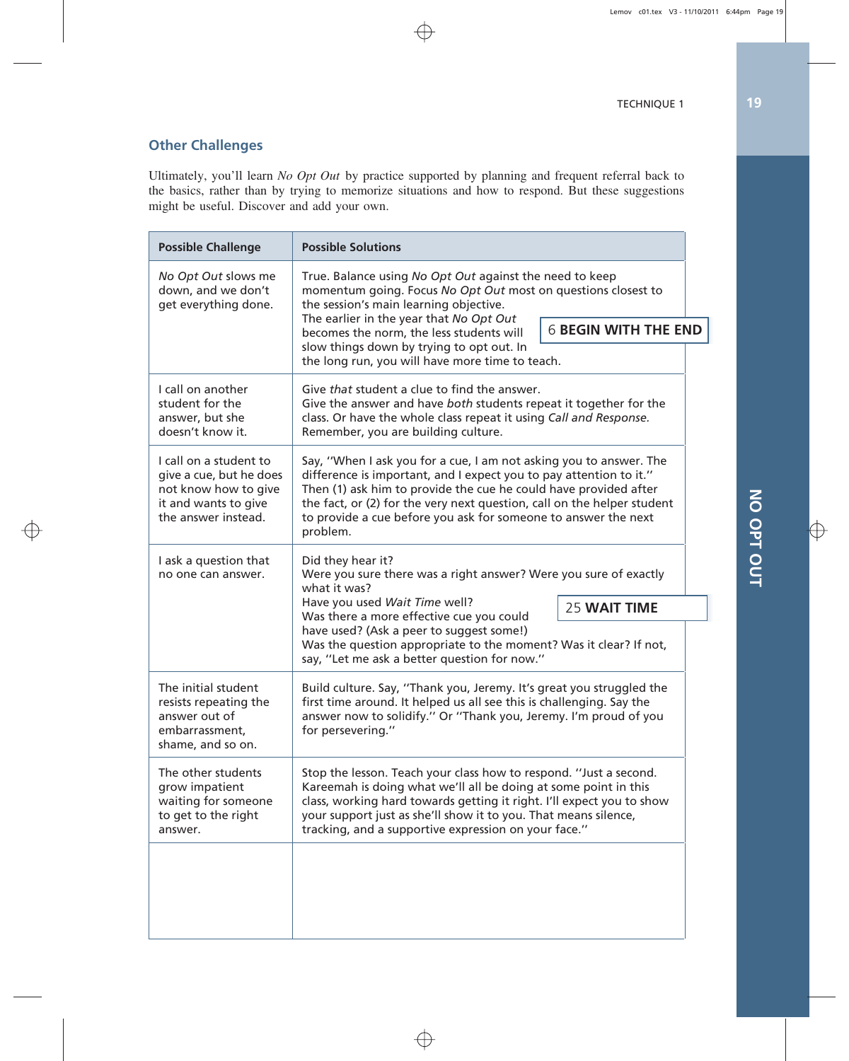### **Other Challenges**

Ultimately, you'll learn *No Opt Out* by practice supported by planning and frequent referral back to the basics, rather than by trying to memorize situations and how to respond. But these suggestions might be useful. Discover and add your own.

| <b>Possible Solutions</b><br><b>Possible Challenge</b>                                                                   |                                                                                                                                                                                                                                                                                                                                                                                          |  |  |
|--------------------------------------------------------------------------------------------------------------------------|------------------------------------------------------------------------------------------------------------------------------------------------------------------------------------------------------------------------------------------------------------------------------------------------------------------------------------------------------------------------------------------|--|--|
| No Opt Out slows me<br>down, and we don't<br>get everything done.                                                        | True. Balance using No Opt Out against the need to keep<br>momentum going. Focus No Opt Out most on questions closest to<br>the session's main learning objective.<br>The earlier in the year that No Opt Out<br><b>6 BEGIN WITH THE END</b><br>becomes the norm, the less students will<br>slow things down by trying to opt out. In<br>the long run, you will have more time to teach. |  |  |
| I call on another<br>student for the<br>answer, but she<br>doesn't know it.                                              | Give that student a clue to find the answer.<br>Give the answer and have both students repeat it together for the<br>class. Or have the whole class repeat it using Call and Response.<br>Remember, you are building culture.                                                                                                                                                            |  |  |
| I call on a student to<br>give a cue, but he does<br>not know how to give<br>it and wants to give<br>the answer instead. | Say, "When I ask you for a cue, I am not asking you to answer. The<br>difference is important, and I expect you to pay attention to it."<br>Then (1) ask him to provide the cue he could have provided after<br>the fact, or (2) for the very next question, call on the helper student<br>to provide a cue before you ask for someone to answer the next<br>problem.                    |  |  |
| I ask a question that<br>no one can answer.                                                                              | Did they hear it?<br>Were you sure there was a right answer? Were you sure of exactly<br>what it was?<br>Have you used Wait Time well?<br><b>25 WAIT TIME</b><br>Was there a more effective cue you could<br>have used? (Ask a peer to suggest some!)<br>Was the question appropriate to the moment? Was it clear? If not,<br>say, "Let me ask a better question for now."               |  |  |
| The initial student<br>resists repeating the<br>answer out of<br>embarrassment,<br>shame, and so on.                     | Build culture. Say, "Thank you, Jeremy. It's great you struggled the<br>first time around. It helped us all see this is challenging. Say the<br>answer now to solidify." Or "Thank you, Jeremy. I'm proud of you<br>for persevering."                                                                                                                                                    |  |  |
| The other students<br>grow impatient<br>waiting for someone<br>to get to the right<br>answer.                            | Stop the lesson. Teach your class how to respond. "Just a second.<br>Kareemah is doing what we'll all be doing at some point in this<br>class, working hard towards getting it right. I'll expect you to show<br>your support just as she'll show it to you. That means silence,<br>tracking, and a supportive expression on your face."                                                 |  |  |
|                                                                                                                          |                                                                                                                                                                                                                                                                                                                                                                                          |  |  |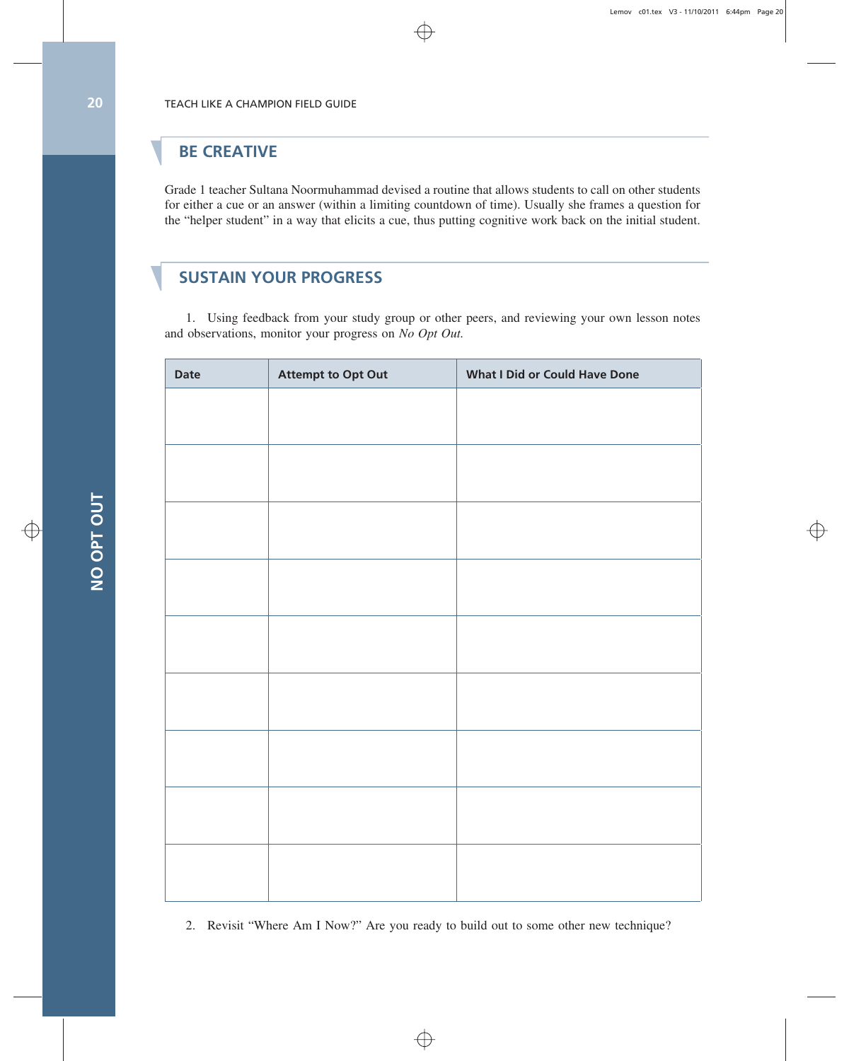### **BE CREATIVE**

Grade 1 teacher Sultana Noormuhammad devised a routine that allows students to call on other students for either a cue or an answer (within a limiting countdown of time). Usually she frames a question for the "helper student" in a way that elicits a cue, thus putting cognitive work back on the initial student.

### **SUSTAIN YOUR PROGRESS**

1. Using feedback from your study group or other peers, and reviewing your own lesson notes and observations, monitor your progress on *No Opt Out.*

| <b>Date</b> | <b>Attempt to Opt Out</b> | <b>What I Did or Could Have Done</b> |
|-------------|---------------------------|--------------------------------------|
|             |                           |                                      |
|             |                           |                                      |
|             |                           |                                      |
|             |                           |                                      |
|             |                           |                                      |
|             |                           |                                      |
|             |                           |                                      |
|             |                           |                                      |
|             |                           |                                      |
|             |                           |                                      |
|             |                           |                                      |
|             |                           |                                      |
|             |                           |                                      |
|             |                           |                                      |
|             |                           |                                      |
|             |                           |                                      |
|             |                           |                                      |
|             |                           |                                      |

2. Revisit "Where Am I Now?" Are you ready to build out to some other new technique?